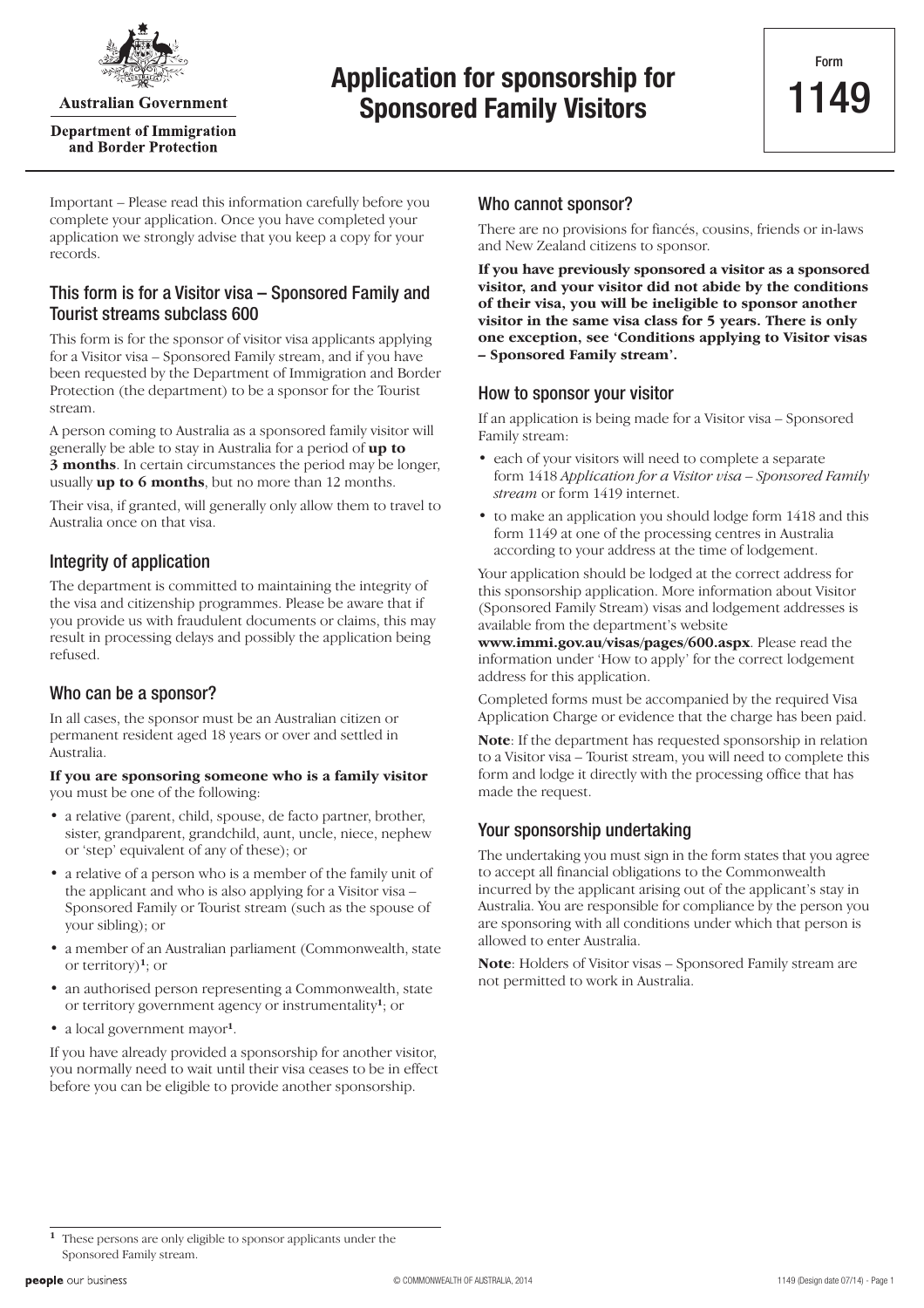

**Australian Government** 

**Department of Immigration** and Border Protection

# **Application for sponsorship for**<br> **1149 Crosscared Family Visitans Sponsored Family Visitors**

Important – Please read this information carefully before you complete your application. Once you have completed your application we strongly advise that you keep a copy for your records.

## This form is for a Visitor visa – Sponsored Family and Tourist streams subclass 600

This form is for the sponsor of visitor visa applicants applying for a Visitor visa – Sponsored Family stream, and if you have been requested by the Department of Immigration and Border Protection (the department) to be a sponsor for the Tourist stream.

A person coming to Australia as a sponsored family visitor will generally be able to stay in Australia for a period of **up to 3 months**. In certain circumstances the period may be longer, usually **up to 6 months**, but no more than 12 months.

Their visa, if granted, will generally only allow them to travel to Australia once on that visa.

## Integrity of application

The department is committed to maintaining the integrity of the visa and citizenship programmes. Please be aware that if you provide us with fraudulent documents or claims, this may result in processing delays and possibly the application being refused.

### Who can be a sponsor?

In all cases, the sponsor must be an Australian citizen or permanent resident aged 18 years or over and settled in Australia.

#### **If you are sponsoring someone who is a family visitor** you must be one of the following:

- a relative (parent, child, spouse, de facto partner, brother, sister, grandparent, grandchild, aunt, uncle, niece, nephew or 'step' equivalent of any of these); or
- a relative of a person who is a member of the family unit of the applicant and who is also applying for a Visitor visa – Sponsored Family or Tourist stream (such as the spouse of your sibling); or
- a member of an Australian parliament (Commonwealth, state or territory)**<sup>1</sup>**; or
- an authorised person representing a Commonwealth, state or territory government agency or instrumentality**<sup>1</sup>**; or
- a local government mayor**<sup>1</sup>**.

If you have already provided a sponsorship for another visitor, you normally need to wait until their visa ceases to be in effect before you can be eligible to provide another sponsorship.

## Who cannot sponsor?

There are no provisions for fiancés, cousins, friends or in-laws and New Zealand citizens to sponsor.

**If you have previously sponsored a visitor as a sponsored visitor, and your visitor did not abide by the conditions of their visa, you will be ineligible to sponsor another visitor in the same visa class for 5 years. There is only one exception, see 'Conditions applying to Visitor visas – Sponsored Family stream'.**

### How to sponsor your visitor

If an application is being made for a Visitor visa – Sponsored Family stream:

- each of your visitors will need to complete a separate form 1418 *Application for a Visitor visa – Sponsored Family stream* or form 1419 internet.
- to make an application you should lodge form 1418 and this form 1149 at one of the processing centres in Australia according to your address at the time of lodgement.

Your application should be lodged at the correct address for this sponsorship application. More information about Visitor (Sponsored Family Stream) visas and lodgement addresses is available from the department's website

**www.immi.gov.au/visas/pages/600.aspx**. Please read the information under 'How to apply' for the correct lodgement address for this application.

Completed forms must be accompanied by the required Visa Application Charge or evidence that the charge has been paid.

**Note**: If the department has requested sponsorship in relation to a Visitor visa – Tourist stream, you will need to complete this form and lodge it directly with the processing office that has made the request.

## Your sponsorship undertaking

The undertaking you must sign in the form states that you agree to accept all financial obligations to the Commonwealth incurred by the applicant arising out of the applicant's stay in Australia. You are responsible for compliance by the person you are sponsoring with all conditions under which that person is allowed to enter Australia.

**Note**: Holders of Visitor visas – Sponsored Family stream are not permitted to work in Australia.

**<sup>1</sup>** These persons are only eligible to sponsor applicants under the Sponsored Family stream.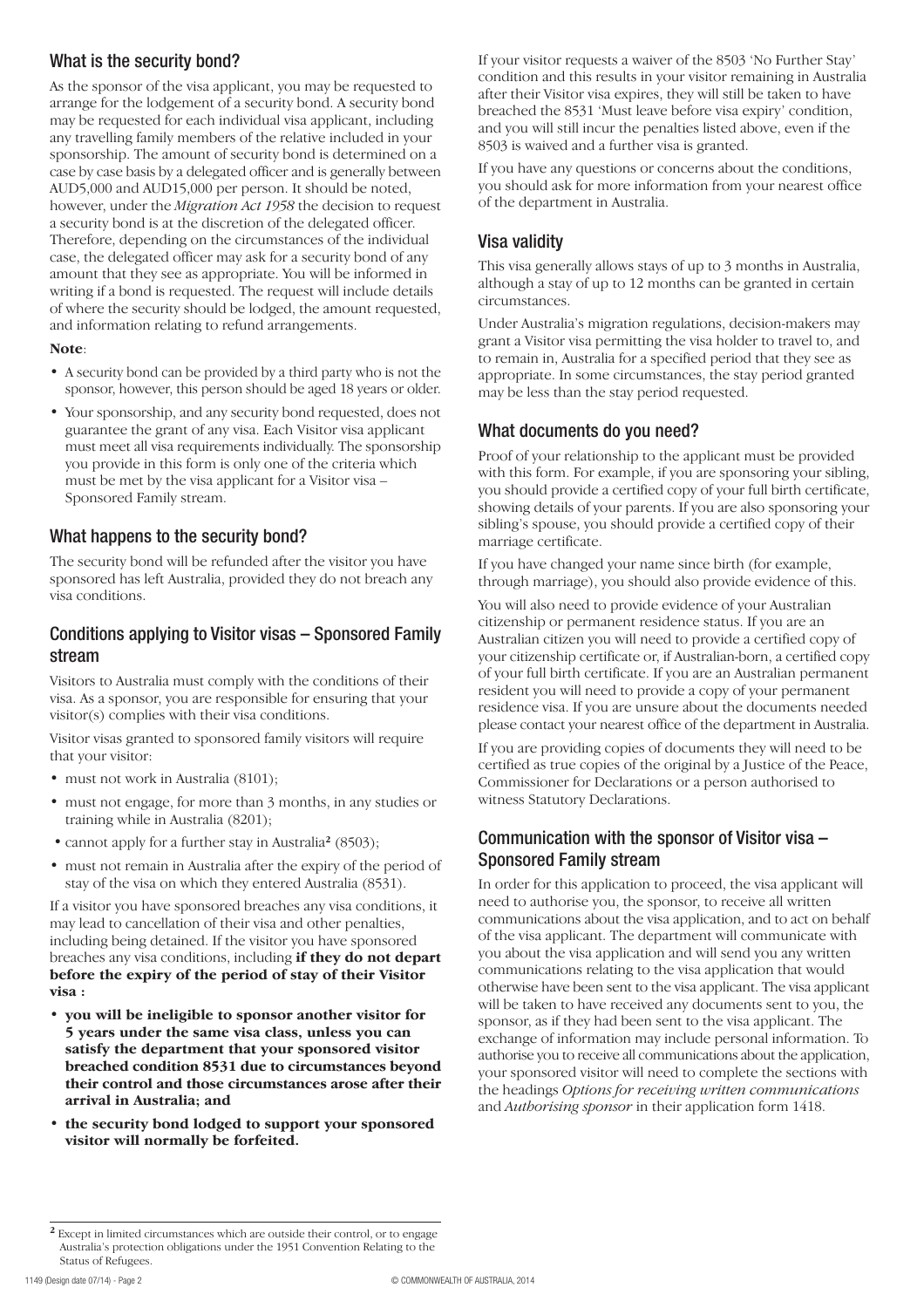## What is the security bond?

As the sponsor of the visa applicant, you may be requested to arrange for the lodgement of a security bond. A security bond may be requested for each individual visa applicant, including any travelling family members of the relative included in your sponsorship. The amount of security bond is determined on a case by case basis by a delegated officer and is generally between AUD5,000 and AUD15,000 per person. It should be noted, however, under the *Migration Act 1958* the decision to request a security bond is at the discretion of the delegated officer. Therefore, depending on the circumstances of the individual case, the delegated officer may ask for a security bond of any amount that they see as appropriate. You will be informed in writing if a bond is requested. The request will include details of where the security should be lodged, the amount requested, and information relating to refund arrangements.

#### **Note**:

- A security bond can be provided by a third party who is not the sponsor, however, this person should be aged 18 years or older.
- Your sponsorship, and any security bond requested, does not guarantee the grant of any visa. Each Visitor visa applicant must meet all visa requirements individually. The sponsorship you provide in this form is only one of the criteria which must be met by the visa applicant for a Visitor visa – Sponsored Family stream.

## What happens to the security bond?

The security bond will be refunded after the visitor you have sponsored has left Australia, provided they do not breach any visa conditions.

## Conditions applying to Visitor visas – Sponsored Family stream

Visitors to Australia must comply with the conditions of their visa. As a sponsor, you are responsible for ensuring that your visitor(s) complies with their visa conditions.

Visitor visas granted to sponsored family visitors will require that your visitor:

- must not work in Australia (8101);
- must not engage, for more than 3 months, in any studies or training while in Australia (8201);
- cannot apply for a further stay in Australia**<sup>2</sup>** (8503);
- must not remain in Australia after the expiry of the period of stay of the visa on which they entered Australia (8531).

If a visitor you have sponsored breaches any visa conditions, it may lead to cancellation of their visa and other penalties, including being detained. If the visitor you have sponsored breaches any visa conditions, including **if they do not depart before the expiry of the period of stay of their Visitor visa :**

- **you will be ineligible to sponsor another visitor for 5 years under the same visa class, unless you can satisfy the department that your sponsored visitor breached condition 8531 due to circumstances beyond their control and those circumstances arose after their arrival in Australia; and**
- **the security bond lodged to support your sponsored visitor will normally be forfeited.**

If your visitor requests a waiver of the 8503 'No Further Stay' condition and this results in your visitor remaining in Australia after their Visitor visa expires, they will still be taken to have breached the 8531 'Must leave before visa expiry' condition, and you will still incur the penalties listed above, even if the 8503 is waived and a further visa is granted.

If you have any questions or concerns about the conditions, you should ask for more information from your nearest office of the department in Australia.

## Visa validity

This visa generally allows stays of up to 3 months in Australia, although a stay of up to 12 months can be granted in certain circumstances.

Under Australia's migration regulations, decision-makers may grant a Visitor visa permitting the visa holder to travel to, and to remain in, Australia for a specified period that they see as appropriate. In some circumstances, the stay period granted may be less than the stay period requested.

## What documents do you need?

Proof of your relationship to the applicant must be provided with this form. For example, if you are sponsoring your sibling, you should provide a certified copy of your full birth certificate, showing details of your parents. If you are also sponsoring your sibling's spouse, you should provide a certified copy of their marriage certificate.

If you have changed your name since birth (for example, through marriage), you should also provide evidence of this.

You will also need to provide evidence of your Australian citizenship or permanent residence status. If you are an Australian citizen you will need to provide a certified copy of your citizenship certificate or, if Australian-born, a certified copy of your full birth certificate. If you are an Australian permanent resident you will need to provide a copy of your permanent residence visa. If you are unsure about the documents needed please contact your nearest office of the department in Australia.

If you are providing copies of documents they will need to be certified as true copies of the original by a Justice of the Peace, Commissioner for Declarations or a person authorised to witness Statutory Declarations.

## Communication with the sponsor of Visitor visa – Sponsored Family stream

In order for this application to proceed, the visa applicant will need to authorise you, the sponsor, to receive all written communications about the visa application, and to act on behalf of the visa applicant. The department will communicate with you about the visa application and will send you any written communications relating to the visa application that would otherwise have been sent to the visa applicant. The visa applicant will be taken to have received any documents sent to you, the sponsor, as if they had been sent to the visa applicant. The exchange of information may include personal information. To authorise you to receive all communications about the application, your sponsored visitor will need to complete the sections with the headings *Options for receiving written communications* and *Authorising sponsor* in their application form 1418.

**<sup>2</sup>** Except in limited circumstances which are outside their control, or to engage Australia's protection obligations under the 1951 Convention Relating to the Status of Refugees.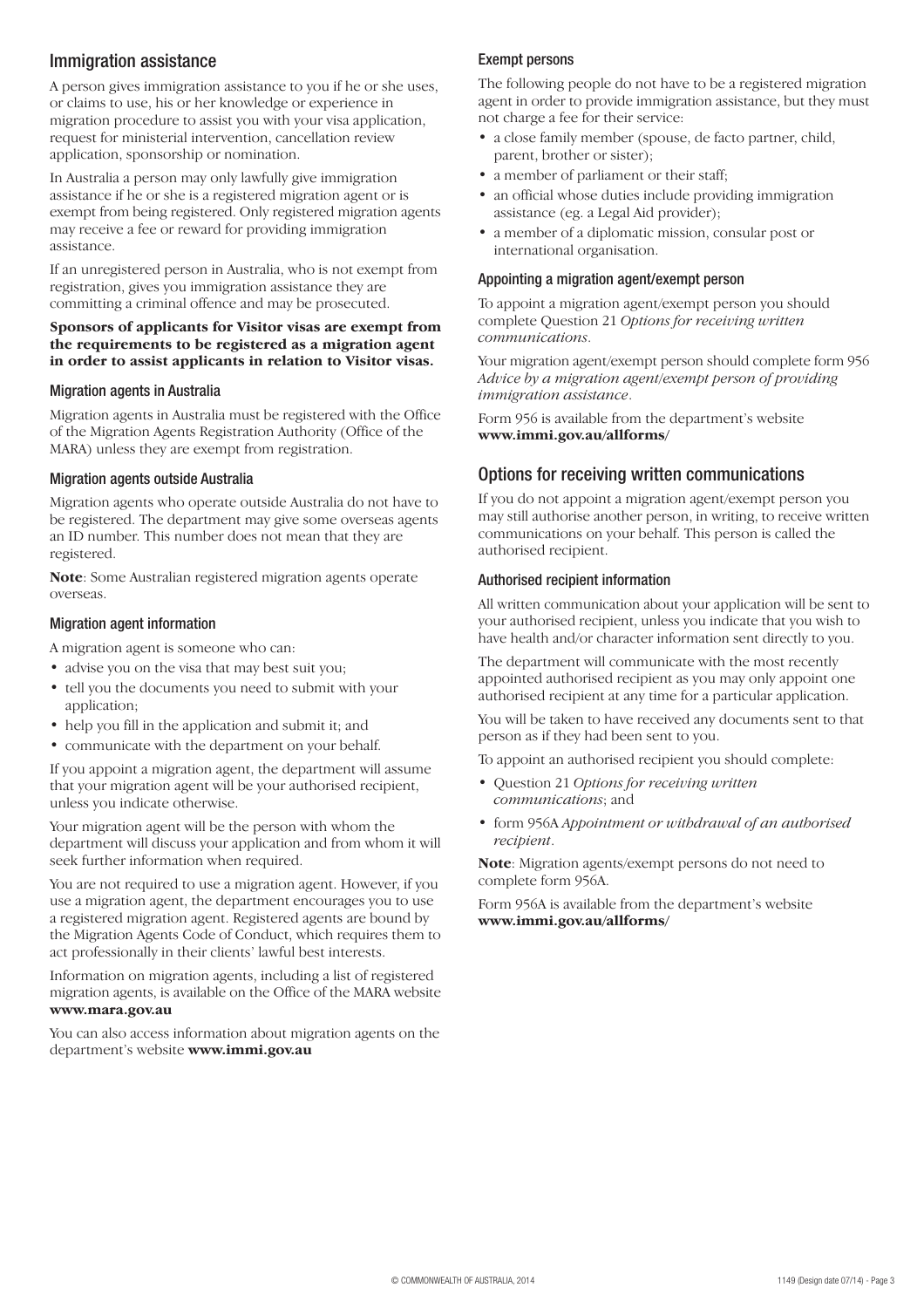### Immigration assistance

A person gives immigration assistance to you if he or she uses, or claims to use, his or her knowledge or experience in migration procedure to assist you with your visa application, request for ministerial intervention, cancellation review application, sponsorship or nomination.

In Australia a person may only lawfully give immigration assistance if he or she is a registered migration agent or is exempt from being registered. Only registered migration agents may receive a fee or reward for providing immigration assistance.

If an unregistered person in Australia, who is not exempt from registration, gives you immigration assistance they are committing a criminal offence and may be prosecuted.

#### **Sponsors of applicants for Visitor visas are exempt from the requirements to be registered as a migration agent in order to assist applicants in relation to Visitor visas.**

#### Migration agents in Australia

Migration agents in Australia must be registered with the Office of the Migration Agents Registration Authority (Office of the MARA) unless they are exempt from registration.

#### Migration agents outside Australia

Migration agents who operate outside Australia do not have to be registered. The department may give some overseas agents an ID number. This number does not mean that they are registered.

**Note**: Some Australian registered migration agents operate overseas.

#### Migration agent information

A migration agent is someone who can:

- advise you on the visa that may best suit you;
- tell you the documents you need to submit with your application;
- help you fill in the application and submit it; and
- communicate with the department on your behalf.

If you appoint a migration agent, the department will assume that your migration agent will be your authorised recipient, unless you indicate otherwise.

Your migration agent will be the person with whom the department will discuss your application and from whom it will seek further information when required.

You are not required to use a migration agent. However, if you use a migration agent, the department encourages you to use a registered migration agent. Registered agents are bound by the Migration Agents Code of Conduct, which requires them to act professionally in their clients' lawful best interests.

Information on migration agents, including a list of registered migration agents, is available on the Office of the MARA website **www.mara.gov.au**

You can also access information about migration agents on the department's website **www.immi.gov.au**

#### Exempt persons

The following people do not have to be a registered migration agent in order to provide immigration assistance, but they must not charge a fee for their service:

- a close family member (spouse, de facto partner, child, parent, brother or sister);
- a member of parliament or their staff;
- an official whose duties include providing immigration assistance (eg. a Legal Aid provider);
- a member of a diplomatic mission, consular post or international organisation.

#### Appointing a migration agent/exempt person

To appoint a migration agent/exempt person you should complete Question 21 *Options for receiving written communications*.

Your migration agent/exempt person should complete form 956 *Advice by a migration agent/exempt person of providing immigration assistance*.

Form 956 is available from the department's website **www.immi.gov.au/allforms/**

### Options for receiving written communications

If you do not appoint a migration agent/exempt person you may still authorise another person, in writing, to receive written communications on your behalf. This person is called the authorised recipient.

#### Authorised recipient information

All written communication about your application will be sent to your authorised recipient, unless you indicate that you wish to have health and/or character information sent directly to you.

The department will communicate with the most recently appointed authorised recipient as you may only appoint one authorised recipient at any time for a particular application.

You will be taken to have received any documents sent to that person as if they had been sent to you.

To appoint an authorised recipient you should complete:

- Question 21 *Options for receiving written communications*; and
- form 956A *Appointment or withdrawal of an authorised recipient*.

**Note**: Migration agents/exempt persons do not need to complete form 956A.

Form 956A is available from the department's website **www.immi.gov.au/allforms/**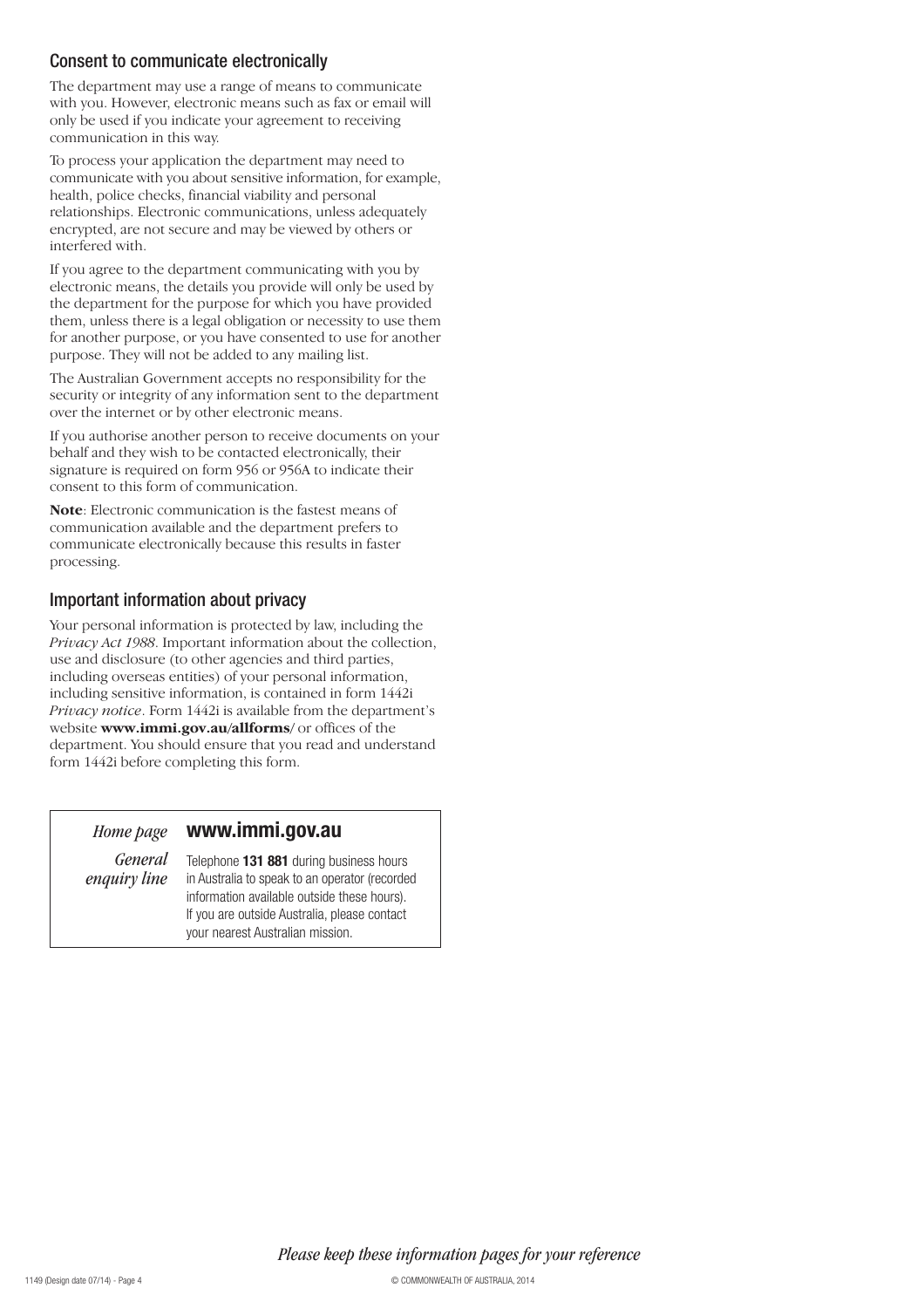### Consent to communicate electronically

The department may use a range of means to communicate with you. However, electronic means such as fax or email will only be used if you indicate your agreement to receiving communication in this way.

To process your application the department may need to communicate with you about sensitive information, for example, health, police checks, financial viability and personal relationships. Electronic communications, unless adequately encrypted, are not secure and may be viewed by others or interfered with.

If you agree to the department communicating with you by electronic means, the details you provide will only be used by the department for the purpose for which you have provided them, unless there is a legal obligation or necessity to use them for another purpose, or you have consented to use for another purpose. They will not be added to any mailing list.

The Australian Government accepts no responsibility for the security or integrity of any information sent to the department over the internet or by other electronic means.

If you authorise another person to receive documents on your behalf and they wish to be contacted electronically, their signature is required on form 956 or 956A to indicate their consent to this form of communication.

**Note**: Electronic communication is the fastest means of communication available and the department prefers to communicate electronically because this results in faster processing.

## Important information about privacy

Your personal information is protected by law, including the *Privacy Act 1988*. Important information about the collection, use and disclosure (to other agencies and third parties, including overseas entities) of your personal information, including sensitive information, is contained in form 1442i *Privacy notice*. Form 1442i is available from the department's website **www.immi.gov.au/allforms/** or offices of the department. You should ensure that you read and understand form 1442i before completing this form.

## *Home page* **www.immi.gov.au**

*General enquiry line*

Telephone **131 881** during business hours in Australia to speak to an operator (recorded information available outside these hours). If you are outside Australia, please contact your nearest Australian mission.

*Please keep these information pages for your reference*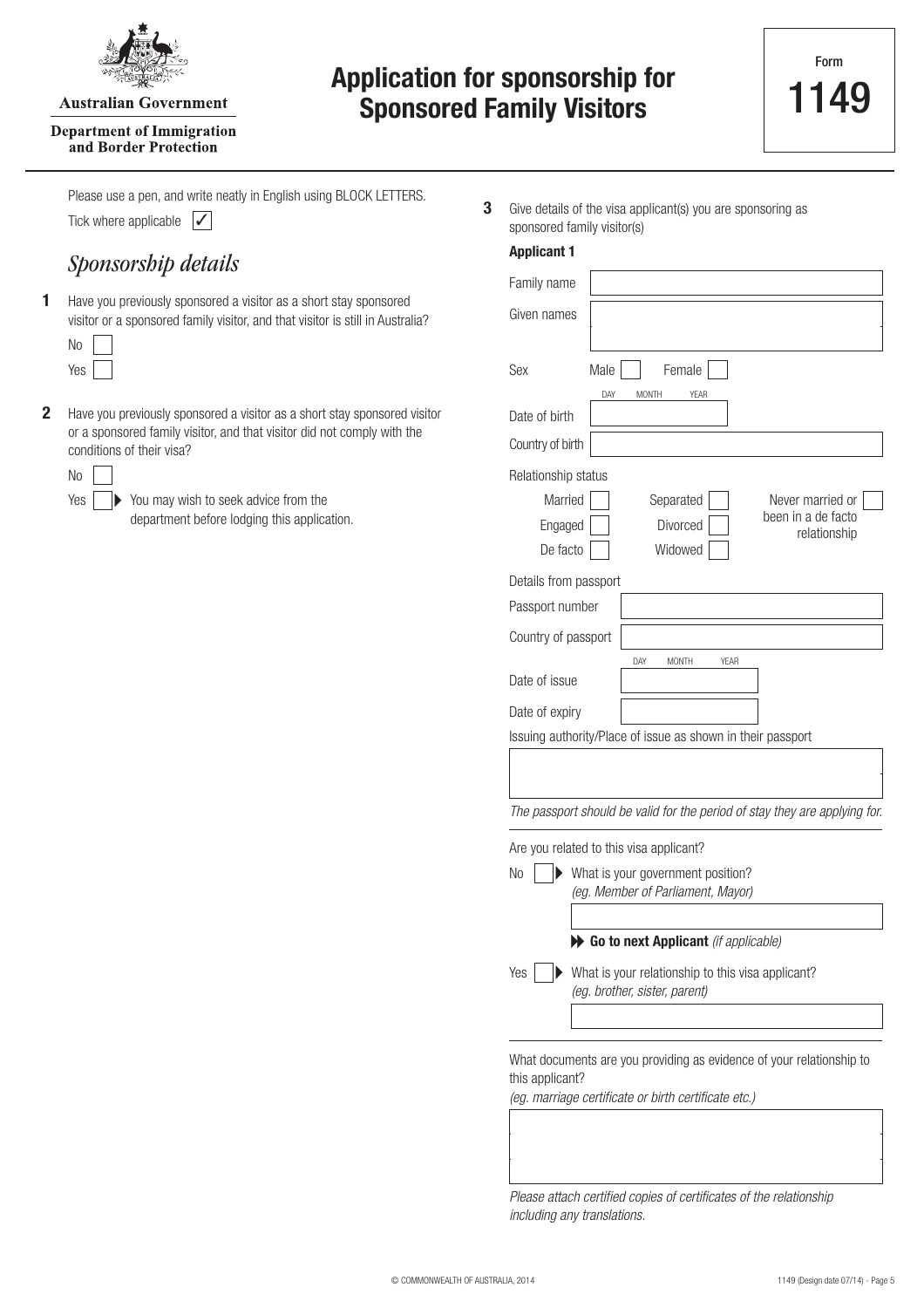

#### **Australian Government**

#### **Department of Immigration** and Border Protection

# **Application for sponsorship for Sponsored Family Visitors**

Tick where applicable  $\sqrt{\sqrt{ }}$ Please use a pen, and write neatly in English using BLOCK LETTERS.

## *Sponsorship details*

Have you previously sponsored a visitor as a short stay sponsored visitor or a sponsored family visitor, and that visitor is still in Australia? **1**

Have you previously sponsored a visitor as a short stay sponsored visitor or a sponsored family visitor, and that visitor did not comply with the conditions of their visa? **2**

Yes

You may wish to seek advice from the  $\mathbf{L}$ department before lodging this application.

Give details of the visa applicant(s) you are sponsoring as sponsored family visitor(s) **3**

| <b>Applicant 1</b>                                    |                                                                                    |                                                        |
|-------------------------------------------------------|------------------------------------------------------------------------------------|--------------------------------------------------------|
| Family name                                           |                                                                                    |                                                        |
| Given names                                           |                                                                                    |                                                        |
| Sex                                                   | Male<br>Female<br>DAY<br><b>MONTH</b><br><b>YEAR</b>                               |                                                        |
| Date of birth                                         |                                                                                    |                                                        |
| Country of birth                                      |                                                                                    |                                                        |
| Relationship status<br>Married<br>Engaged<br>De facto | Separated<br>Divorced<br>Widowed                                                   | Never married or<br>been in a de facto<br>relationship |
| Details from passport<br>Passport number              |                                                                                    |                                                        |
| Country of passport                                   |                                                                                    |                                                        |
| Date of issue<br>Date of expiry                       | YEAR<br>DAY<br><b>MONTH</b>                                                        |                                                        |
|                                                       | Issuing authority/Place of issue as shown in their passport                        |                                                        |
|                                                       | The passport should be valid for the period of stay they are applying for.         |                                                        |
|                                                       | Are you related to this visa applicant?                                            |                                                        |
| N <sub>0</sub>                                        | What is your government position?<br>(eg. Member of Parliament, Mayor)             |                                                        |
|                                                       | Go to next Applicant (if applicable)                                               |                                                        |
| Yes                                                   | What is your relationship to this visa applicant?<br>(eg. brother, sister, parent) |                                                        |
| this applicant?                                       | What documents are you providing as evidence of your relationship to               |                                                        |

(eg. marriage certificate or birth certificate etc.)

Please attach certified copies of certificates of the relationship including any translations.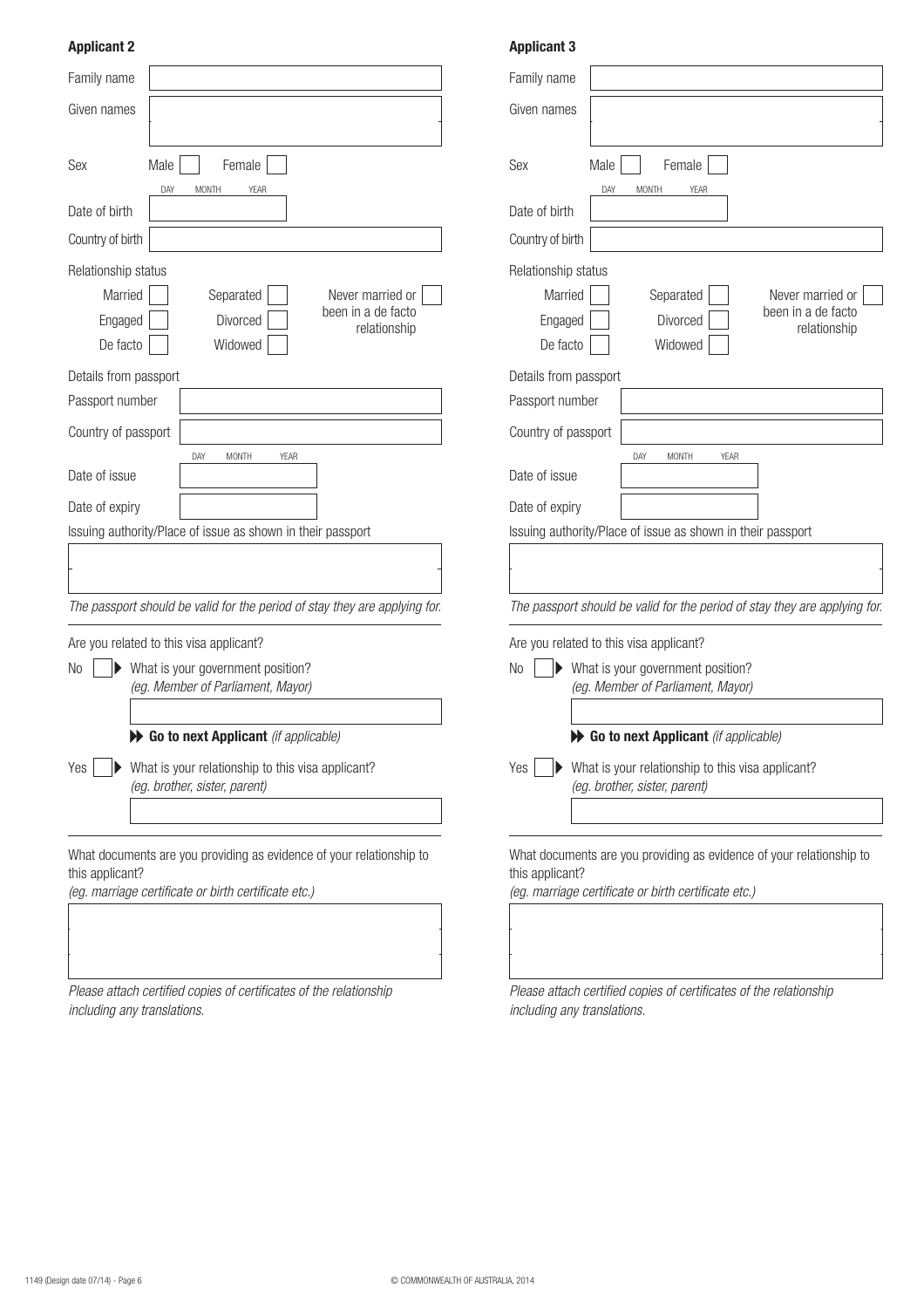## **Applicant 2**

| Family name                                                                               | Family name                                    |  |
|-------------------------------------------------------------------------------------------|------------------------------------------------|--|
| Given names                                                                               | Given names                                    |  |
|                                                                                           |                                                |  |
| Sex<br>Male<br>Female                                                                     | Sex<br>Male                                    |  |
| DAY<br><b>YEAR</b><br><b>MONTH</b>                                                        | DAY<br>M                                       |  |
| Date of birth                                                                             | Date of birth                                  |  |
| Country of birth                                                                          | Country of birth                               |  |
| Relationship status                                                                       | Relationship status                            |  |
| Married<br>Separated<br>Never married or<br>been in a de facto                            | Married                                        |  |
| Engaged<br>Divorced<br>relationship                                                       | Engaged                                        |  |
| De facto<br>Widowed                                                                       | De facto                                       |  |
| Details from passport                                                                     | Details from passport                          |  |
| Passport number                                                                           | Passport number                                |  |
| Country of passport                                                                       | Country of passport                            |  |
| DAY<br><b>MONTH</b><br><b>YEAR</b>                                                        | DA <sup></sup>                                 |  |
| Date of issue                                                                             | Date of issue                                  |  |
| Date of expiry                                                                            | Date of expiry                                 |  |
| Issuing authority/Place of issue as shown in their passport                               | Issuing authority/Place of                     |  |
|                                                                                           |                                                |  |
|                                                                                           |                                                |  |
| The passport should be valid for the period of stay they are applying for.                | The passport should be va                      |  |
| Are you related to this visa applicant?                                                   | Are you related to this visa                   |  |
| What is your government position?<br>No                                                   | N <sub>o</sub><br>What is your o               |  |
| (eg. Member of Parliament, Mayor)                                                         | (eg. Member                                    |  |
| Go to next Applicant (if applicable)                                                      | $\blacktriangleright$ Go to nex                |  |
|                                                                                           |                                                |  |
| What is your relationship to this visa applicant?<br>Yes<br>(eg. brother, sister, parent) | Yes<br>What is your r<br>(eg. brother, s.      |  |
|                                                                                           |                                                |  |
|                                                                                           |                                                |  |
| What documents are you providing as evidence of your relationship to                      | What documents are you                         |  |
| this applicant?<br>(eg. marriage certificate or birth certificate etc.)                   | this applicant?<br>(eg. marriage certificate o |  |
|                                                                                           |                                                |  |
|                                                                                           |                                                |  |
|                                                                                           |                                                |  |

Please attach certified copies of certificates of the relationship including any translations.

#### **Applicant 3**

| Family name                                                                                                                                     |                                                                            |
|-------------------------------------------------------------------------------------------------------------------------------------------------|----------------------------------------------------------------------------|
| Given names                                                                                                                                     |                                                                            |
|                                                                                                                                                 |                                                                            |
| Female<br>Sex<br>Male                                                                                                                           |                                                                            |
| DAY<br><b>MONTH</b><br>Date of birth                                                                                                            | <b>YEAR</b>                                                                |
| Country of birth                                                                                                                                |                                                                            |
| Relationship status<br>Married<br>Separated<br>Divorced<br>Engaged<br>De facto<br>Widowed                                                       | Never married or<br>been in a de facto<br>relationship                     |
| Details from passport<br>Passport number                                                                                                        |                                                                            |
| Country of passport                                                                                                                             |                                                                            |
| DAY<br><b>MONTH</b><br>Date of issue                                                                                                            | <b>YEAR</b>                                                                |
| Date of expiry                                                                                                                                  |                                                                            |
| Issuing authority/Place of issue as shown in their passport                                                                                     |                                                                            |
|                                                                                                                                                 |                                                                            |
|                                                                                                                                                 | The passport should be valid for the period of stay they are applying for. |
| Are you related to this visa applicant?                                                                                                         |                                                                            |
| No<br>What is your government position?<br>(eg. Member of Parliament, Mayor)                                                                    |                                                                            |
| Go to next Applicant (if applicable)                                                                                                            |                                                                            |
| What is your relationship to this visa applicant?<br>Yes<br>(eg. brother, sister, parent)                                                       |                                                                            |
|                                                                                                                                                 |                                                                            |
| What documents are you providing as evidence of your relationship to<br>this applicant?<br>(eg. marriage certificate or birth certificate etc.) |                                                                            |

Please attach certified copies of certificates of the relationship including any translations.

 $\overline{\phantom{a}}$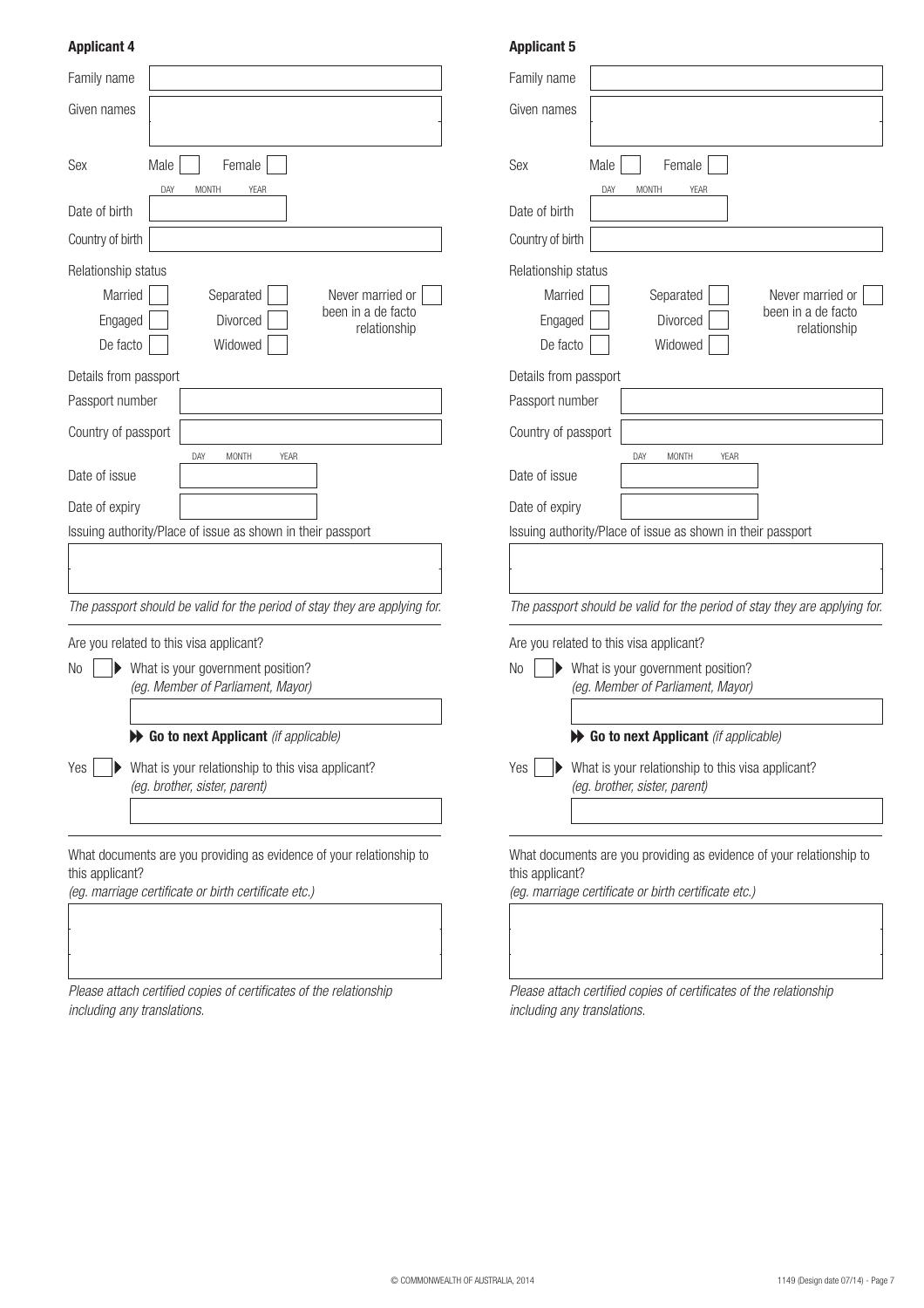## **Applicant 4**

| Family name                                                                               | Family name                    |
|-------------------------------------------------------------------------------------------|--------------------------------|
| Given names                                                                               | Given names                    |
| Sex<br>Female<br>Male                                                                     | Sex                            |
| DAY<br><b>MONTH</b><br><b>YEAR</b>                                                        |                                |
| Date of birth                                                                             | Date of birth                  |
| Country of birth                                                                          | Country of birl                |
| Relationship status                                                                       | Relationship                   |
| Married<br>Separated<br>Never married or<br>been in a de facto                            | Marrie                         |
| Divorced<br>Engaged<br>relationship                                                       | Engage                         |
| De facto<br>Widowed                                                                       | De fact                        |
| Details from passport                                                                     | Details from                   |
| Passport number                                                                           | Passport nun                   |
| Country of passport                                                                       | Country of pa                  |
| DAY<br><b>MONTH</b><br><b>YEAR</b><br>Date of issue                                       | Date of issue                  |
| Date of expiry                                                                            | Date of expir                  |
| Issuing authority/Place of issue as shown in their passport                               | Issuing autho                  |
|                                                                                           |                                |
|                                                                                           |                                |
| The passport should be valid for the period of stay they are applying for.                | The passport                   |
| Are you related to this visa applicant?                                                   | Are you relat                  |
| What is your government position?<br>N <sub>o</sub>                                       | N <sub>o</sub>                 |
| (eg. Member of Parliament, Mayor)                                                         |                                |
|                                                                                           |                                |
| Go to next Applicant (if applicable)                                                      |                                |
| Yes<br>What is your relationship to this visa applicant?<br>(eg. brother, sister, parent) | Yes                            |
|                                                                                           |                                |
|                                                                                           |                                |
| What documents are you providing as evidence of your relationship to                      | What docum                     |
| this applicant?<br>(eg. marriage certificate or birth certificate etc.)                   | this applican<br>(eg. marriage |
|                                                                                           |                                |
|                                                                                           |                                |
|                                                                                           |                                |

Please attach certified copies of certificates of the relationship including any translations.

### **Applicant 5**

| Family name                                                                                                                                         |
|-----------------------------------------------------------------------------------------------------------------------------------------------------|
| Given names                                                                                                                                         |
|                                                                                                                                                     |
| Male<br>Female<br>Sex                                                                                                                               |
| DAY<br><b>MONTH</b><br><b>YEAR</b><br>Date of birth                                                                                                 |
| Country of birth                                                                                                                                    |
|                                                                                                                                                     |
| Relationship status<br>Married<br>Separated<br>Never married or<br>been in a de facto<br>Divorced<br>Engaged<br>relationship<br>Widowed<br>De facto |
| Details from passport                                                                                                                               |
| Passport number                                                                                                                                     |
| Country of passport                                                                                                                                 |
| YEAR<br>DAY<br><b>MONTH</b><br>Date of issue                                                                                                        |
| Date of expiry                                                                                                                                      |
| Issuing authority/Place of issue as shown in their passport                                                                                         |
|                                                                                                                                                     |
| The passport should be valid for the period of stay they are applying for.                                                                          |
| Are you related to this visa applicant?                                                                                                             |
| No<br>▶ What is your government position?<br>(eg. Member of Parliament, Mayor)                                                                      |
| Go to next Applicant (if applicable)                                                                                                                |
| Yes<br>What is your relationship to this visa applicant?<br>(eg. brother, sister, parent)                                                           |
| What documents are you providing as evidence of your relationship to<br>this applicant?<br>(eg. marriage certificate or birth certificate etc.)     |

Please attach certified copies of certificates of the relationship including any translations.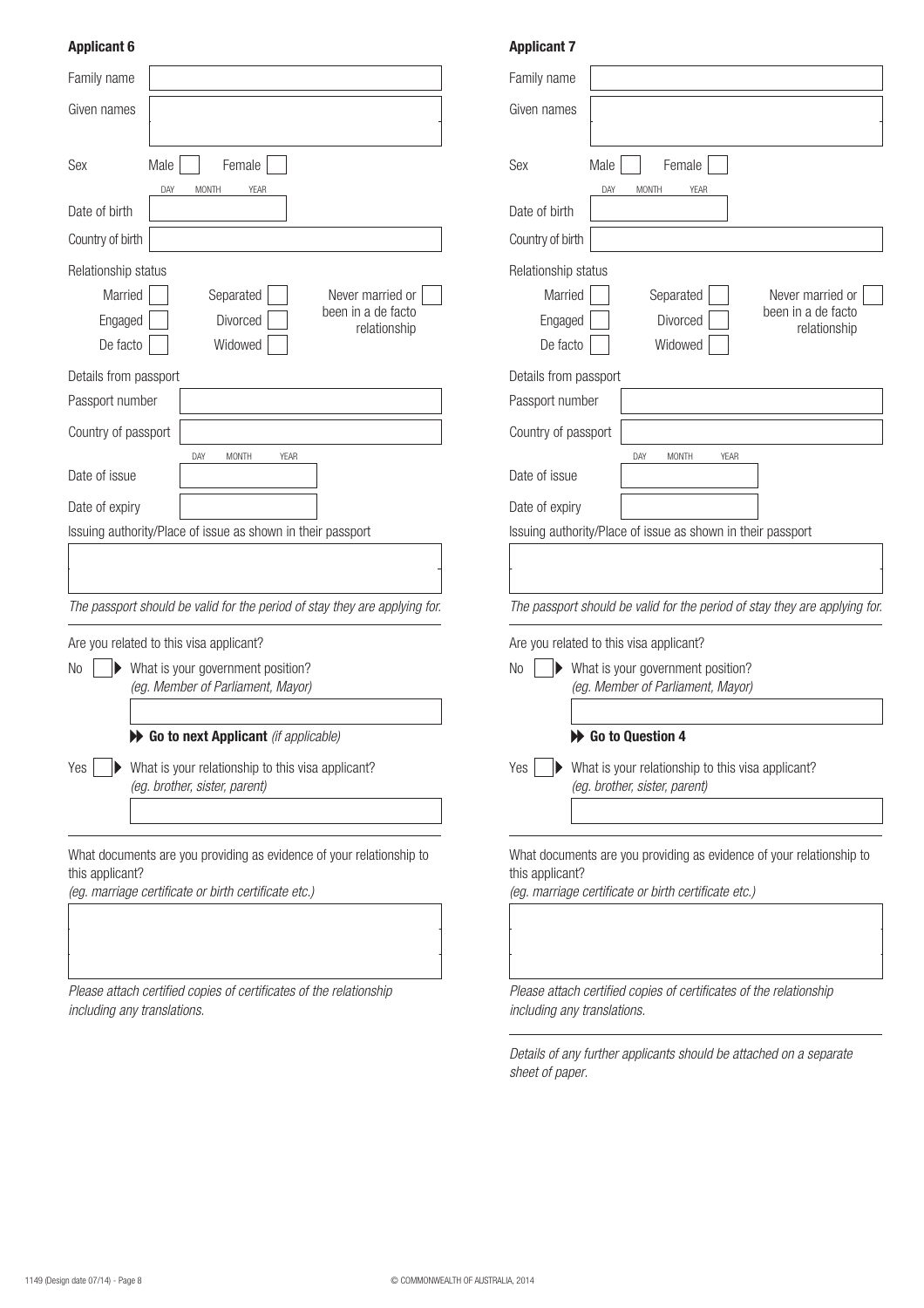#### **Applicant 6**

| Family name                    |                                                                                                                              | Family name                                  |
|--------------------------------|------------------------------------------------------------------------------------------------------------------------------|----------------------------------------------|
| Given names                    |                                                                                                                              | Given names                                  |
|                                |                                                                                                                              |                                              |
| Sex                            | Male<br>Female                                                                                                               | Sex                                          |
| Date of birth                  | DAY<br><b>MONTH</b><br><b>YEAR</b>                                                                                           | Date of birth                                |
| Country of birth               |                                                                                                                              | Country of birl                              |
| Relationship status            |                                                                                                                              | Relationship                                 |
| Married<br>Engaged<br>De facto | Separated<br>Never married or<br>been in a de facto<br>Divorced<br>relationship<br>Widowed                                   | Marrie<br>Engage<br>De fact                  |
| Details from passport          |                                                                                                                              | Details from                                 |
| Passport number                |                                                                                                                              | Passport nun                                 |
| Country of passport            |                                                                                                                              | Country of pa                                |
| Date of issue                  | DAY<br><b>MONTH</b><br>YEAR                                                                                                  | Date of issue                                |
| Date of expiry                 |                                                                                                                              | Date of expir                                |
|                                | Issuing authority/Place of issue as shown in their passport                                                                  | Issuing autho                                |
|                                |                                                                                                                              |                                              |
|                                | The passport should be valid for the period of stay they are applying for.                                                   | The passpon                                  |
|                                | Are you related to this visa applicant?                                                                                      | Are you relat                                |
| No                             | What is your government position?                                                                                            | No                                           |
|                                | (eg. Member of Parliament, Mayor)                                                                                            |                                              |
|                                | Go to next Applicant (if applicable)                                                                                         |                                              |
| Yes                            | What is your relationship to this visa applicant?<br>(eg. brother, sister, parent)                                           | Yes                                          |
| this applicant?                | What documents are you providing as evidence of your relationship to<br>(eg. marriage certificate or birth certificate etc.) | What docum<br>this applican<br>(eg. marriage |
|                                |                                                                                                                              |                                              |

Please attach certified copies of certificates of the relationship including any translations.

#### **Applicant 7**

| Family name                                                          |                                                                            |  |  |  |
|----------------------------------------------------------------------|----------------------------------------------------------------------------|--|--|--|
| Given names                                                          |                                                                            |  |  |  |
|                                                                      |                                                                            |  |  |  |
| Sex                                                                  | Female<br>Male                                                             |  |  |  |
|                                                                      | DAY<br><b>MONTH</b><br><b>YEAR</b>                                         |  |  |  |
| Date of birth                                                        |                                                                            |  |  |  |
| Country of birth                                                     |                                                                            |  |  |  |
| Relationship status                                                  |                                                                            |  |  |  |
| Married                                                              | Separated<br>Never married or                                              |  |  |  |
| Engaged                                                              | been in a de facto<br>Divorced<br>relationship                             |  |  |  |
| De facto                                                             | Widowed                                                                    |  |  |  |
| Details from passport                                                |                                                                            |  |  |  |
| Passport number                                                      |                                                                            |  |  |  |
| Country of passport                                                  |                                                                            |  |  |  |
|                                                                      | <b>YEAR</b><br>DAY<br>MONTH                                                |  |  |  |
| Date of issue                                                        |                                                                            |  |  |  |
| Date of expiry                                                       |                                                                            |  |  |  |
|                                                                      | Issuing authority/Place of issue as shown in their passport                |  |  |  |
|                                                                      |                                                                            |  |  |  |
|                                                                      |                                                                            |  |  |  |
|                                                                      | The passport should be valid for the period of stay they are applying for. |  |  |  |
|                                                                      | Are you related to this visa applicant?                                    |  |  |  |
| No                                                                   | What is your government position?                                          |  |  |  |
|                                                                      | (eg. Member of Parliament, Mayor)                                          |  |  |  |
|                                                                      |                                                                            |  |  |  |
|                                                                      | Go to Question 4                                                           |  |  |  |
| Yes                                                                  | What is your relationship to this visa applicant?                          |  |  |  |
|                                                                      | (eg. brother, sister, parent)                                              |  |  |  |
|                                                                      |                                                                            |  |  |  |
| What documents are you providing as evidence of your relationship to |                                                                            |  |  |  |
| this applicant?                                                      |                                                                            |  |  |  |
|                                                                      | (eg. marriage certificate or birth certificate etc.)                       |  |  |  |
|                                                                      |                                                                            |  |  |  |
|                                                                      |                                                                            |  |  |  |

Please attach certified copies of certificates of the relationship including any translations.

Details of any further applicants should be attached on a separate sheet of paper.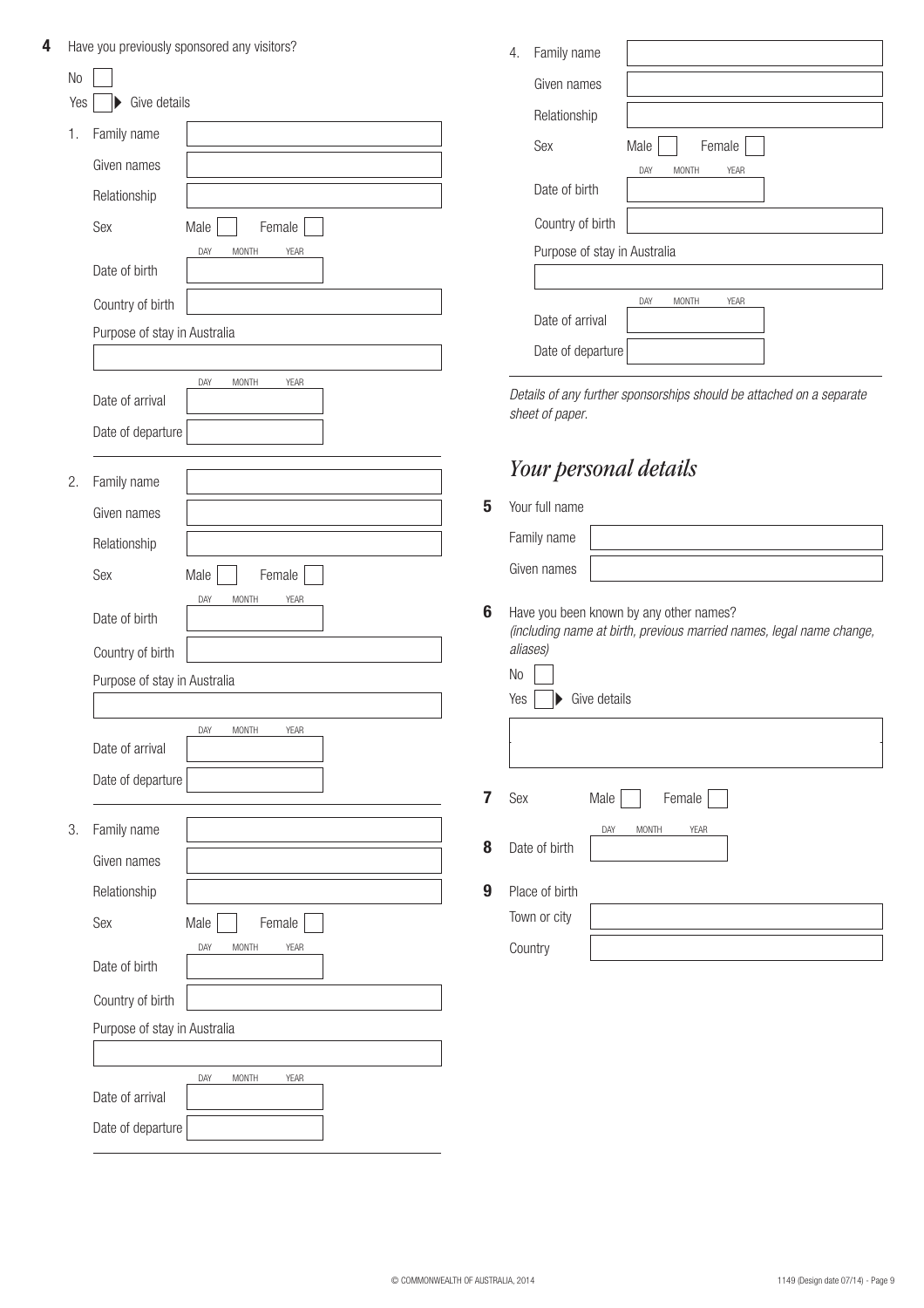| 4 |     |                              | Have you previously sponsored any visitors? |                | Family name<br>4.                                                                                               |
|---|-----|------------------------------|---------------------------------------------|----------------|-----------------------------------------------------------------------------------------------------------------|
|   | No  |                              |                                             |                | Given names                                                                                                     |
|   | Yes | Give details                 |                                             |                | Relationship                                                                                                    |
|   | 1.  | Family name                  |                                             |                | Sex<br>Female<br>Male                                                                                           |
|   |     | Given names                  |                                             |                | <b>MONTH</b><br>YEAR<br>DAY                                                                                     |
|   |     | Relationship                 |                                             |                | Date of birth                                                                                                   |
|   |     | Sex                          | Male<br>Female                              |                | Country of birth                                                                                                |
|   |     |                              | <b>MONTH</b><br>DAY<br>YEAR                 |                | Purpose of stay in Australia                                                                                    |
|   |     | Date of birth                |                                             |                |                                                                                                                 |
|   |     | Country of birth             |                                             |                | DAY<br>MONTH<br>YEAR                                                                                            |
|   |     | Purpose of stay in Australia |                                             |                | Date of arrival                                                                                                 |
|   |     |                              |                                             |                | Date of departure                                                                                               |
|   |     | Date of arrival              | DAY<br><b>MONTH</b><br>YEAR                 |                | Details of any further sponsorships should be attached on a separate                                            |
|   |     | Date of departure            |                                             |                | sheet of paper.                                                                                                 |
|   |     |                              |                                             |                |                                                                                                                 |
|   | 2.  | Family name                  |                                             |                | Your personal details                                                                                           |
|   |     | Given names                  |                                             | 5              | Your full name                                                                                                  |
|   |     | Relationship                 |                                             |                | Family name                                                                                                     |
|   |     | Sex                          | Male<br>Female                              |                | Given names                                                                                                     |
|   |     |                              | DAY<br><b>MONTH</b><br>YEAR                 |                |                                                                                                                 |
|   |     | Date of birth                |                                             | 6              | Have you been known by any other names?<br>(including name at birth, previous married names, legal name change, |
|   |     | Country of birth             |                                             |                | aliases)                                                                                                        |
|   |     | Purpose of stay in Australia |                                             |                | No                                                                                                              |
|   |     |                              |                                             |                | Give details<br>Yes                                                                                             |
|   |     | Date of arrival              | DAY<br>MONTH<br><b>YEAR</b>                 |                |                                                                                                                 |
|   |     | Date of departure            |                                             |                |                                                                                                                 |
|   |     |                              |                                             | $\overline{7}$ | Sex<br>Male<br>Female                                                                                           |
|   | 3.  | Family name                  |                                             |                | DAY<br>MONTH<br>YEAR                                                                                            |
|   |     | Given names                  |                                             | 8              | Date of birth                                                                                                   |
|   |     | Relationship                 |                                             | 9              | Place of birth                                                                                                  |
|   |     | Sex                          | Male<br>Female                              |                | Town or city                                                                                                    |
|   |     |                              | DAY<br><b>MONTH</b><br>YEAR                 |                | Country                                                                                                         |
|   |     | Date of birth                |                                             |                |                                                                                                                 |
|   |     | Country of birth             |                                             |                |                                                                                                                 |
|   |     | Purpose of stay in Australia |                                             |                |                                                                                                                 |
|   |     |                              |                                             |                |                                                                                                                 |
|   |     | Date of arrival              | <b>MONTH</b><br>YEAR<br>DAY                 |                |                                                                                                                 |
|   |     | Date of departure            |                                             |                |                                                                                                                 |
|   |     |                              |                                             |                |                                                                                                                 |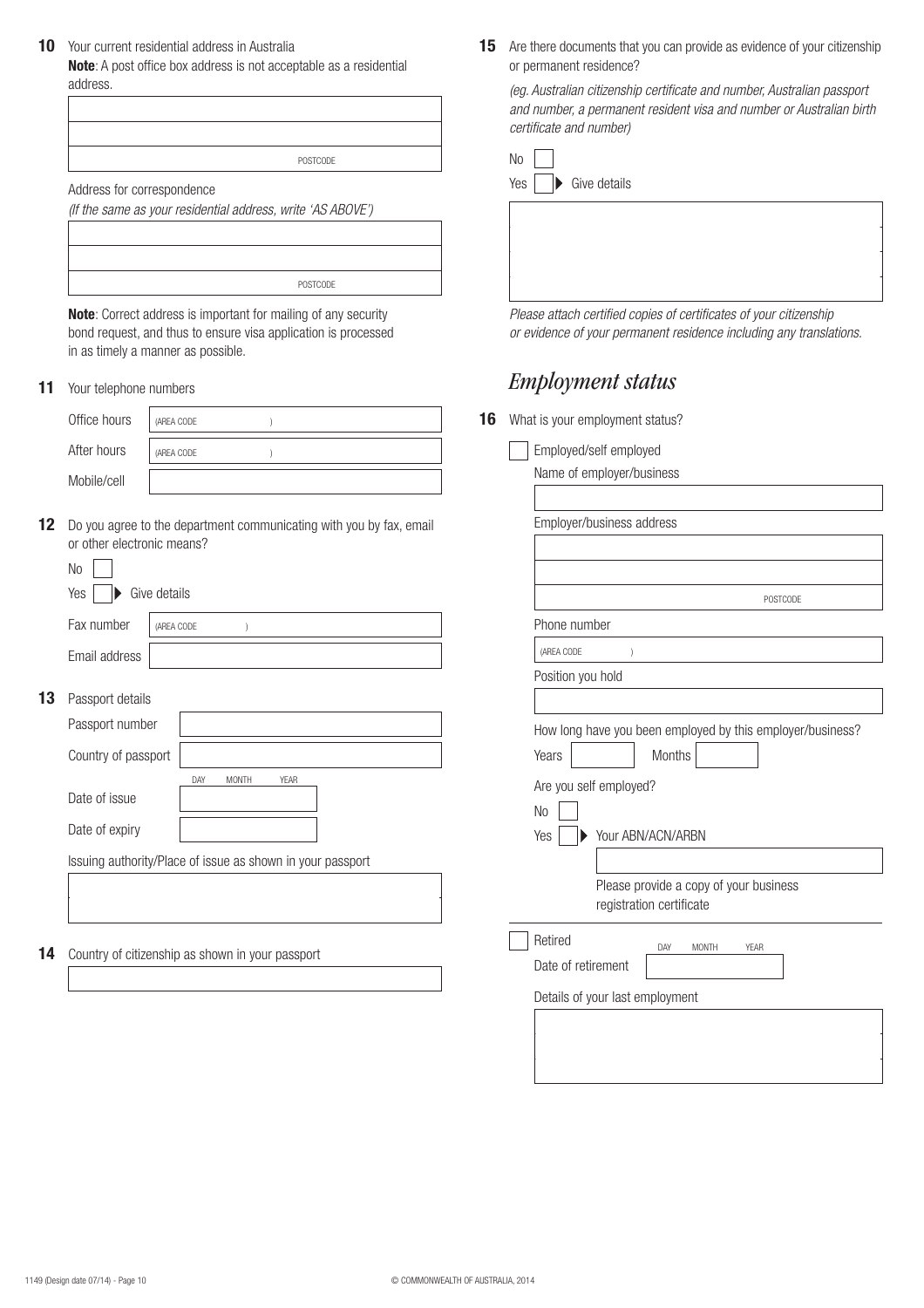Your current residential address in Australia **10**

**Note**: A post office box address is not acceptable as a residential address.

| POSTCODE |  |
|----------|--|
|          |  |

Address for correspondence

(If the same as your residential address, write 'AS ABOVE')

| POSTCODE |  |
|----------|--|
|          |  |

**Note**: Correct address is important for mailing of any security bond request, and thus to ensure visa application is processed in as timely a manner as possible.

**11** Your telephone numbers

| Office hours | (AREA CODE |  |
|--------------|------------|--|
| After hours  | (AREA CODE |  |
| Mobile/cell  |            |  |

12 Do you agree to the department communicating with you by fax, email or other electronic means?

| No            |                               |  |  |
|---------------|-------------------------------|--|--|
| Yes           | $\triangleright$ Give details |  |  |
| Fax number    | (AREA CODE                    |  |  |
| Email address |                               |  |  |
|               |                               |  |  |

**13** Passport details

|    | Passport number                                            |     |              |             |  |
|----|------------------------------------------------------------|-----|--------------|-------------|--|
|    | Country of passport                                        |     |              |             |  |
|    |                                                            | DAY | <b>MONTH</b> | <b>YEAR</b> |  |
|    | Date of issue                                              |     |              |             |  |
|    | Date of expiry                                             |     |              |             |  |
|    | Issuing authority/Place of issue as shown in your passport |     |              |             |  |
|    |                                                            |     |              |             |  |
|    |                                                            |     |              |             |  |
|    |                                                            |     |              |             |  |
| 14 | Country of citizenship as shown in your passport           |     |              |             |  |
|    |                                                            |     |              |             |  |
|    |                                                            |     |              |             |  |

15 Are there documents that you can provide as evidence of your citizenship or permanent residence?

(eg. Australian citizenship certificate and number, Australian passport and number, a permanent resident visa and number or Australian birth certificate and number)

| <b>No</b>                                 |
|-------------------------------------------|
| Yes<br>$\blacktriangleright$ Give details |
|                                           |
|                                           |
|                                           |
|                                           |

Please attach certified copies of certificates of your citizenship or evidence of your permanent residence including any translations.

## *Employment status*

**16** What is your employment status?

|                | Employed/self employed                                     |
|----------------|------------------------------------------------------------|
|                | Name of employer/business                                  |
|                | Employer/business address                                  |
|                |                                                            |
|                | POSTCODE                                                   |
|                | Phone number                                               |
| (AREA CODE     | $\lambda$                                                  |
|                | Position you hold                                          |
|                |                                                            |
|                | How long have you been employed by this employer/business? |
| Years          | Months                                                     |
|                | Are you self employed?                                     |
| N <sub>o</sub> |                                                            |
| Yes            | Your ABN/ACN/ARBN                                          |
|                |                                                            |
|                | Please provide a copy of your business                     |
|                | registration certificate                                   |
| Retired        | DAY<br><b>YEAR</b><br><b>MONTH</b>                         |
|                | Date of retirement                                         |
|                | Details of your last employment                            |
|                |                                                            |
|                |                                                            |
|                |                                                            |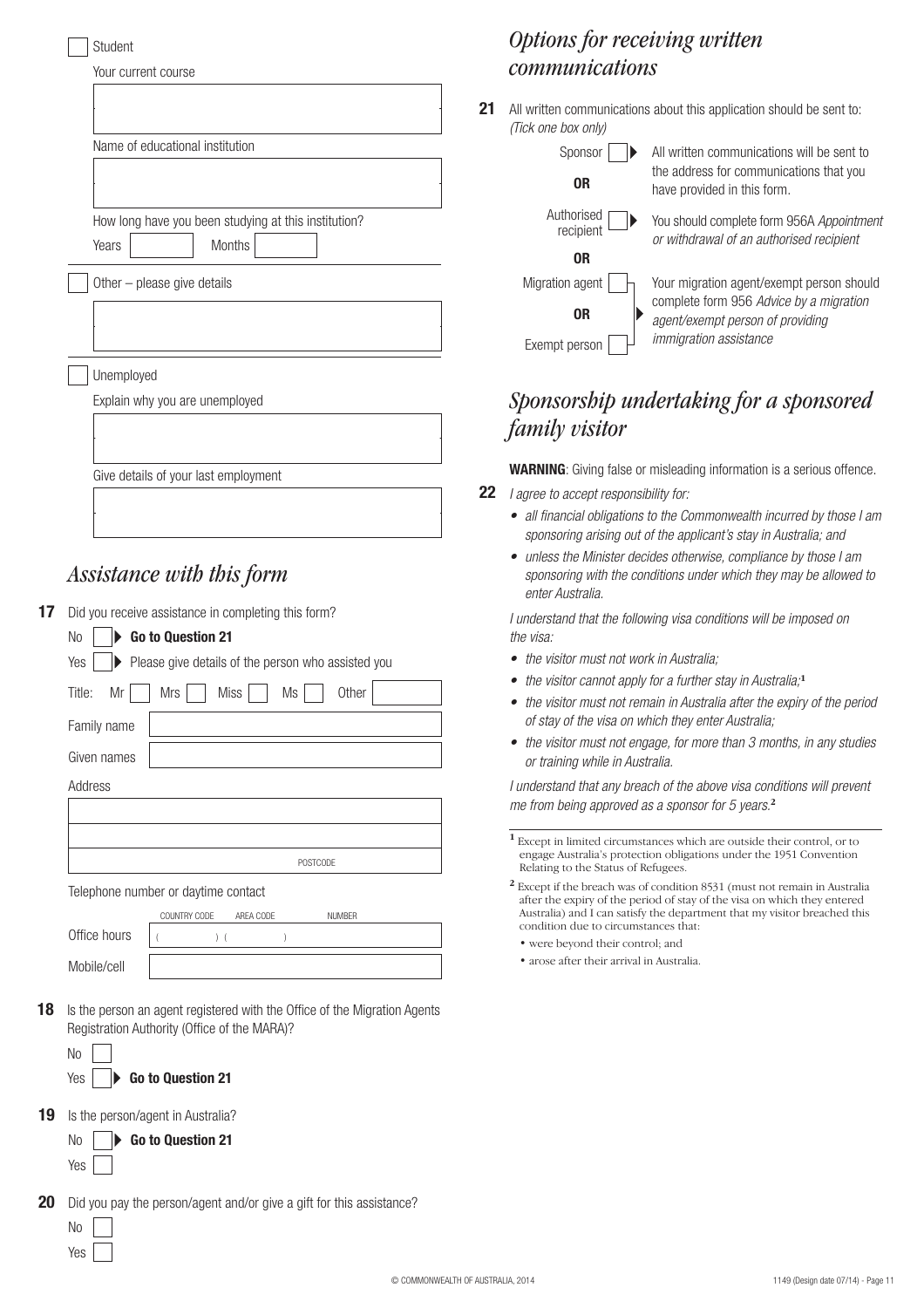| Student                                              |
|------------------------------------------------------|
| Your current course                                  |
|                                                      |
|                                                      |
| Name of educational institution                      |
|                                                      |
|                                                      |
| How long have you been studying at this institution? |
| Months<br>Years                                      |
| Other - please give details                          |
|                                                      |
|                                                      |
|                                                      |
| Unemployed                                           |
| Explain why you are unemployed                       |
|                                                      |
|                                                      |
| Give details of your last employment                 |
|                                                      |
|                                                      |
|                                                      |

## *Assistance with this form*

**17** Did you receive assistance in completing this form?

| Go to Question 21<br>No                                   |
|-----------------------------------------------------------|
| Please give details of the person who assisted you<br>Yes |
| Other<br>Miss<br>Mrs<br>Title:<br>Mr<br>Ms                |
| Family name                                               |
| Given names                                               |
| Address                                                   |
|                                                           |
|                                                           |
| <b>POSTCODE</b>                                           |
| Telephone number or daytime contact                       |
| COUNTRY CODE<br>AREA CODE<br><b>NUMBER</b>                |
| Office hours<br>) (                                       |

|    | Mobile/cell |                                                                           |
|----|-------------|---------------------------------------------------------------------------|
|    |             |                                                                           |
| 18 |             | Is the person an agent registered with the Office of the Migration Agents |

|    | Registration Authority (Office of the MARA)? |  |  |
|----|----------------------------------------------|--|--|
| No |                                              |  |  |
|    | Yes <b>Co to Question 21</b>                 |  |  |

**19** Is the person/agent in Australia?

|  |  | $\mathsf{No}$   $\blacktriangleright$ Go to Question 21 |  |
|--|--|---------------------------------------------------------|--|
|  |  |                                                         |  |

## *Options for receiving written communications*

All written communications about this application should be sent to: **21** (Tick one box only)

| Sponsor                 | All written communications will be sent to                                            |
|-------------------------|---------------------------------------------------------------------------------------|
| 0R                      | the address for communications that you<br>have provided in this form.                |
| Authorised<br>recipient | You should complete form 956A Appointment<br>or withdrawal of an authorised recipient |
| 0R                      |                                                                                       |
| Migration agent         | Your migration agent/exempt person should                                             |
| 0R                      | complete form 956 Advice by a migration<br>agent/exempt person of providing           |
| Exempt person           | <i>immigration assistance</i>                                                         |

# *Sponsorship undertaking for a sponsored family visitor*

**WARNING**: Giving false or misleading information is a serious offence.

- **22** I agree to accept responsibility for:
	- all financial obligations to the Commonwealth incurred by those I am sponsoring arising out of the applicant's stay in Australia; and
	- unless the Minister decides otherwise, compliance by those I am sponsoring with the conditions under which they may be allowed to enter Australia.

I understand that the following visa conditions will be imposed on the visa:

- the visitor must not work in Australia;
- the visitor cannot apply for a further stay in Australia;**<sup>1</sup>**
- the visitor must not remain in Australia after the expiry of the period of stay of the visa on which they enter Australia;
- the visitor must not engage, for more than 3 months, in any studies or training while in Australia.

I understand that any breach of the above visa conditions will prevent me from being approved as a sponsor for 5 years.**<sup>2</sup>**

- **<sup>1</sup>** Except in limited circumstances which are outside their control, or to engage Australia's protection obligations under the 1951 Convention Relating to the Status of Refugees.
- **<sup>2</sup>** Except if the breach was of condition 8531 (must not remain in Australia after the expiry of the period of stay of the visa on which they entered Australia) and I can satisfy the department that my visitor breached this condition due to circumstances that:
	- were beyond their control; and
	- arose after their arrival in Australia.

**20** Did you pay the person/agent and/or give a gift for this assistance?

| I |  |
|---|--|
|   |  |

Yes |